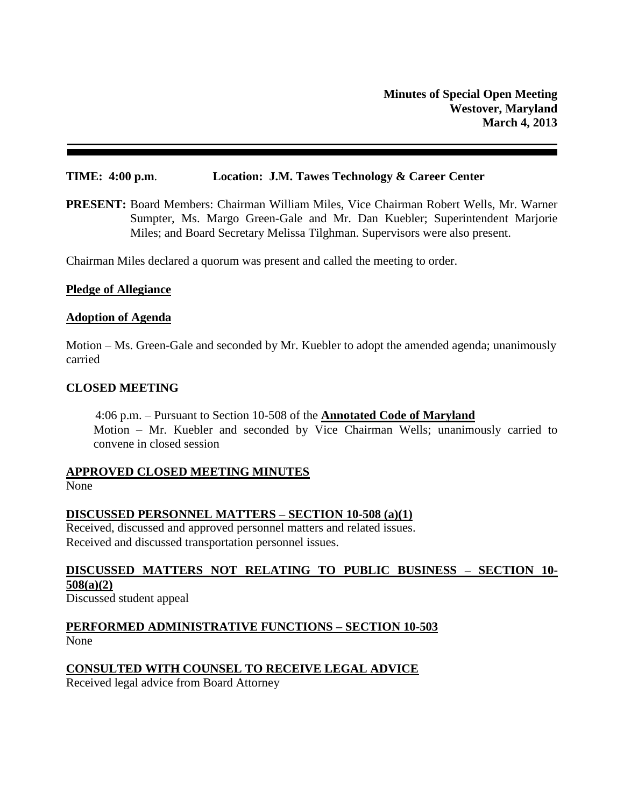### **TIME: 4:00 p.m**. **Location: J.M. Tawes Technology & Career Center**

**PRESENT:** Board Members: Chairman William Miles, Vice Chairman Robert Wells, Mr. Warner Sumpter, Ms. Margo Green-Gale and Mr. Dan Kuebler; Superintendent Marjorie Miles; and Board Secretary Melissa Tilghman. Supervisors were also present.

Chairman Miles declared a quorum was present and called the meeting to order.

#### **Pledge of Allegiance**

#### **Adoption of Agenda**

Motion – Ms. Green-Gale and seconded by Mr. Kuebler to adopt the amended agenda; unanimously carried

#### **CLOSED MEETING**

4:06 p.m. – Pursuant to Section 10-508 of the **Annotated Code of Maryland** Motion – Mr. Kuebler and seconded by Vice Chairman Wells; unanimously carried to convene in closed session

#### **APPROVED CLOSED MEETING MINUTES**

None

#### **DISCUSSED PERSONNEL MATTERS – SECTION 10-508 (a)(1)**

Received, discussed and approved personnel matters and related issues. Received and discussed transportation personnel issues.

# **DISCUSSED MATTERS NOT RELATING TO PUBLIC BUSINESS – SECTION 10- 508(a)(2)**

Discussed student appeal

**PERFORMED ADMINISTRATIVE FUNCTIONS – SECTION 10-503** None

# **CONSULTED WITH COUNSEL TO RECEIVE LEGAL ADVICE**

Received legal advice from Board Attorney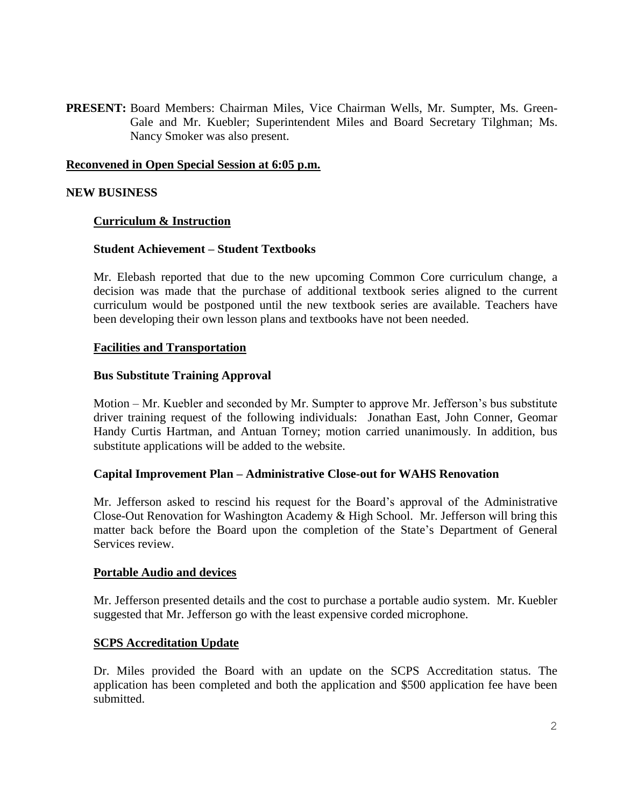**PRESENT:** Board Members: Chairman Miles, Vice Chairman Wells, Mr. Sumpter, Ms. Green-Gale and Mr. Kuebler; Superintendent Miles and Board Secretary Tilghman; Ms. Nancy Smoker was also present.

### **Reconvened in Open Special Session at 6:05 p.m.**

#### **NEW BUSINESS**

### **Curriculum & Instruction**

# **Student Achievement – Student Textbooks**

Mr. Elebash reported that due to the new upcoming Common Core curriculum change, a decision was made that the purchase of additional textbook series aligned to the current curriculum would be postponed until the new textbook series are available. Teachers have been developing their own lesson plans and textbooks have not been needed.

#### **Facilities and Transportation**

#### **Bus Substitute Training Approval**

Motion – Mr. Kuebler and seconded by Mr. Sumpter to approve Mr. Jefferson's bus substitute driver training request of the following individuals: Jonathan East, John Conner, Geomar Handy Curtis Hartman, and Antuan Torney; motion carried unanimously. In addition, bus substitute applications will be added to the website.

#### **Capital Improvement Plan – Administrative Close-out for WAHS Renovation**

Mr. Jefferson asked to rescind his request for the Board's approval of the Administrative Close-Out Renovation for Washington Academy & High School. Mr. Jefferson will bring this matter back before the Board upon the completion of the State's Department of General Services review.

#### **Portable Audio and devices**

Mr. Jefferson presented details and the cost to purchase a portable audio system. Mr. Kuebler suggested that Mr. Jefferson go with the least expensive corded microphone.

#### **SCPS Accreditation Update**

Dr. Miles provided the Board with an update on the SCPS Accreditation status. The application has been completed and both the application and \$500 application fee have been submitted.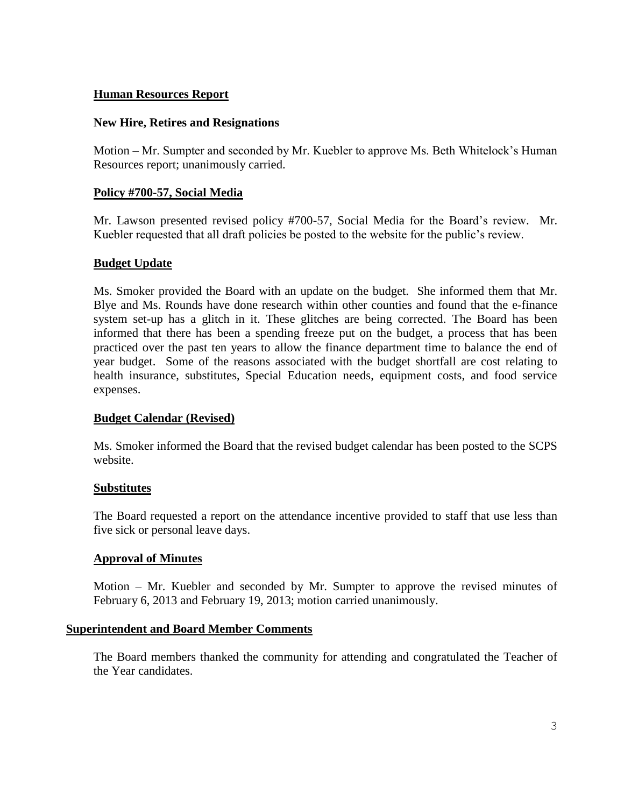# **Human Resources Report**

# **New Hire, Retires and Resignations**

Motion – Mr. Sumpter and seconded by Mr. Kuebler to approve Ms. Beth Whitelock's Human Resources report; unanimously carried.

# **Policy #700-57, Social Media**

Mr. Lawson presented revised policy #700-57, Social Media for the Board's review. Mr. Kuebler requested that all draft policies be posted to the website for the public's review.

# **Budget Update**

Ms. Smoker provided the Board with an update on the budget. She informed them that Mr. Blye and Ms. Rounds have done research within other counties and found that the e-finance system set-up has a glitch in it. These glitches are being corrected. The Board has been informed that there has been a spending freeze put on the budget, a process that has been practiced over the past ten years to allow the finance department time to balance the end of year budget. Some of the reasons associated with the budget shortfall are cost relating to health insurance, substitutes, Special Education needs, equipment costs, and food service expenses.

## **Budget Calendar (Revised)**

Ms. Smoker informed the Board that the revised budget calendar has been posted to the SCPS website.

## **Substitutes**

The Board requested a report on the attendance incentive provided to staff that use less than five sick or personal leave days.

## **Approval of Minutes**

Motion – Mr. Kuebler and seconded by Mr. Sumpter to approve the revised minutes of February 6, 2013 and February 19, 2013; motion carried unanimously.

## **Superintendent and Board Member Comments**

The Board members thanked the community for attending and congratulated the Teacher of the Year candidates.